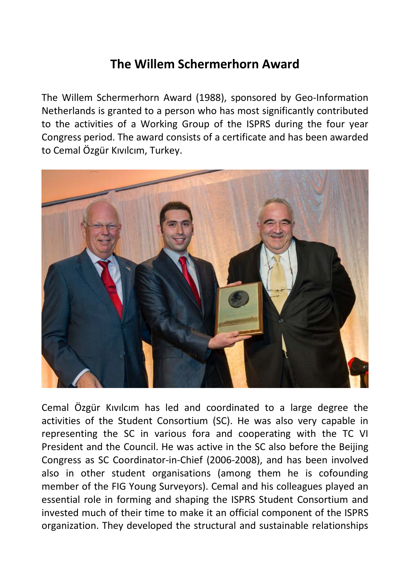## **The Willem Schermerhorn Award**

The Willem Schermerhorn Award (1988), sponsored by Geo-Information Netherlands is granted to a person who has most significantly contributed to the activities of a Working Group of the ISPRS during the four year Congress period. The award consists of a certificate and has been awarded to Cemal Özgür Kıvılcım, Turkey.



Cemal Özgür Kıvılcım has led and coordinated to a large degree the activities of the Student Consortium (SC). He was also very capable in representing the SC in various fora and cooperating with the TC VI President and the Council. He was active in the SC also before the Beijing Congress as SC Coordinator-in-Chief (2006-2008), and has been involved also in other student organisations (among them he is cofounding member of the FIG Young Surveyors). Cemal and his colleagues played an essential role in forming and shaping the ISPRS Student Consortium and invested much of their time to make it an official component of the ISPRS organization. They developed the structural and sustainable relationships